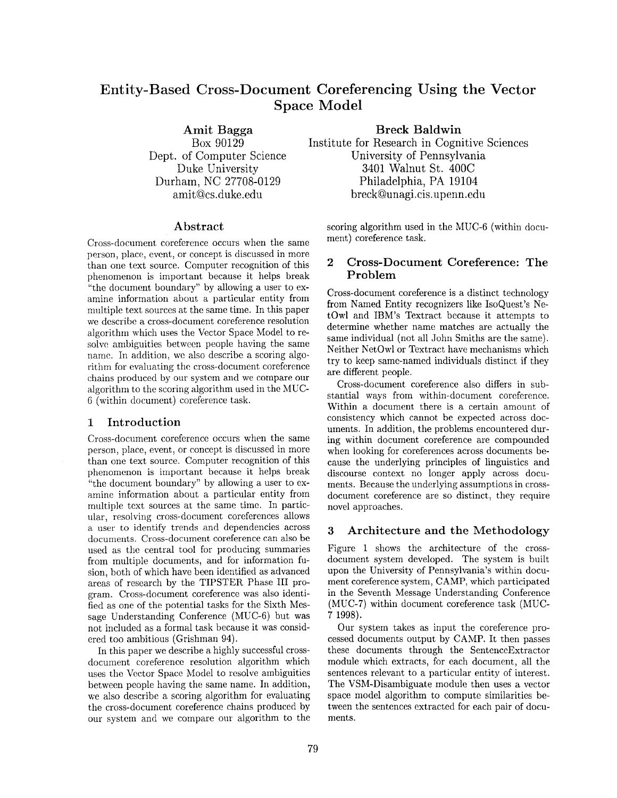# **Entity-Based Cross-Document Coreferencing Using the Vector Space Model**

**Amit Bagga**  Box 90129 Dept. of Computer Science Duke University Durham, NC 27708-0129 amit@cs.duke.edu

#### **Abstract**

Cross-document coreference occurs when the same person, place, event, or concept is discussed in more than one text source. Computer recognition of this phenomenon is important because it helps break "the document boundary" by allowing a user to examine information about a particular entity from multiple text sources at the same time. In this paper we describe a cross-document coreference resolution algorithm which uses the Vector Space Model to resolve ambiguities between people having the same name. In addition, we also describe a scoring algorithm for evaluating the cross-document coreference chains produced by our system and we compare our algorithm to the scoring algorithm used in the MUC-6 (within document) coreference task.

### **1 Introduction**

Cross-document coreference occurs when the same person, place, event, or concept is discussed in more than one text source. Computer recognition of this phenomenon is important because it helps break "the document boundary" by allowing a user to examine information about a particular entity from multiple text sources at the same time. In particular, resolving cross-document coreferences allows a user to identify trends and dependencies across documents. Cross-document coreference can also be used as the central tool for producing summaries from multiple documents, and for information fusion, both of which have been identified as advanced areas of research by the TIPSTER Phase III program. Cross-document coreference was also identified as one of the potential tasks for the Sixth Message Understanding Conference (MUC-6) but was not included as a formal task because it was considered too ambitious (Grishman 94).

In this paper we describe a highly successful crossdocument coreference resolution algorithm which uses the Vector Space Model to resolve ambiguities between people having the same name. In addition, we also describe a scoring algorithm for evaluating the cross-document coreference chains produced by our system and we compare our algorithm to the **Breck Baldwin** 

Institute for Research in Cognitive Sciences University of Pennsylvania 3401 Walnut St. 400C Philadelphia, PA 19104 breck@unagi.cis.upenn.edu

scoring algorithm used in the MUC-6 (within document) coreference task.

# 2 **Cross-Document Coreference:** The Problem

Cross-document corefereuce **is** a distinct technology from Named Entity recognizers like IsoQuest's NetOwl and IBM's Textract because it attempts to determine whether name; matches are actually the same individual (not all John Smiths are the same). Neither NetOwl or Textract have mechanisms which try to keep same-named individuals distinct if they are different people.

Cross-document coreference also differs in substantial ways from within-document coreference. Within a document there is a certain amount of consistency which cannot be expected across documents. In addition, the problems encountered during within document coreference are compounded when looking for coreferences across documents because the underlying principles of linguistics and discourse context no longer apply across documents. Because the underlying assumptions in crossdocument coreference are so distinct, they require novel approaches.

### **3 Architecture and the Methodology**

Figure 1 shows the architecture of the crossdocument system developed. The system is built upon the University of Pennsylvania's within document coreference system, CAMP, which participated in the Seventh Message Understanding Conference (MUC-7) within document coreference task (MUC-7 1998).

Our system takes as input the coreference processed documents output by CAMP. It then passes these documents through the SentenceExtractor module which extracts, for each document, all the sentences relevant to a particular entity of interest. The VSM-Disambiguate module then uses a vector space model algorithm to compute similarities between the sentences extracted for each pair of documents.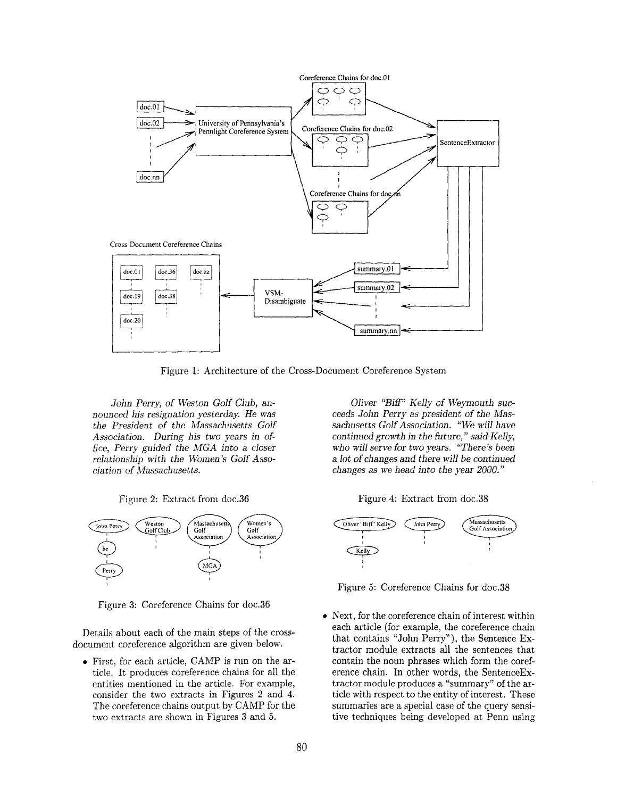

Figure 1: Architecture of the Cross-Document Coreference System

*John Perry, of Weston Golf Club, announced his resignation yesterday. He* was *the President of the Massachusetts Golf Association. During his two years in offlee, Perry guided the MGA into a closer*  relationship with the Women's Golf Asso*ciation of hfassachusetts.* 

Figure 2: Extract from doc.36



Figure 3: Coreference Chains for doc.36

Details about each of the main steps of the crossdocument coreference algorithm are given below.

• First, for each article, CAMP is run on the article. It produces coreference chains for all the entities mentioned in the article. For example, consider the two extracts in Figures 2 and 4. The coreference chains output by CAMP for the two extracts are shown in Figures 3 and 5.

*Oliver "Biff" Kelly of Weymouth* suc*ceeds John Perry* as *president of the* Mas*sachusetts Golf Association. "~Ve will have continued growth in the future," said Kelly, who will serve for two years. "There's been a lot of changes and there will be continued changes as we head into the year 2000."* 





Figure 5: Coreference Chains for doc.38

Next, for the coreference chain of interest within each article (for example, the coreference chain that contains "John Perry"), the Sentence Extractor module extracts all the sentences that contain the noun phrases which form the coreference chain. In other words, the SentenceExtractor module produces a "summary" of the article with respect to the entity of interest. These summaries are a special case of the query sensitive techniques being developed at Penn using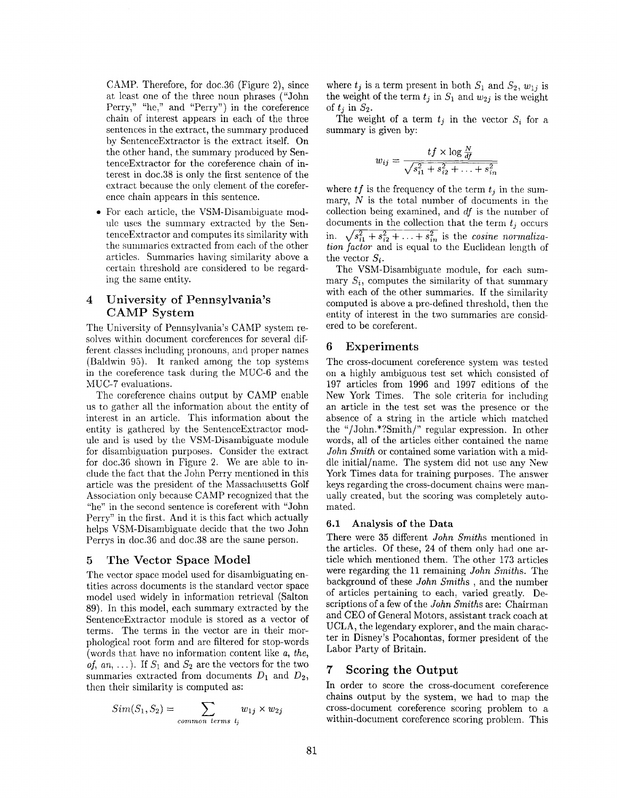CAMP. Therefore, for doc.36 (Figure 2), since at least one of the three noun phrases ("John Perry," "he," and "Perry") in the coreference chain of interest appears in each of the three sentences in the extract, the summary produced by SentenceExtractor is the extract itself. On the other hand, the summary produced by SentenceExtractor for the coreference chain of interest in doc.38 is only the first sentence of the extract because the only element of the coreference chain appears in this sentence.

• For each article, the VSM-Disambiguate module uses the summary extracted by the SentenceExtractor and computes its similarity with the suminaries extracted from each of the other articles. Summaries having similarity above a certain threshold are considered to be regarding the same entity.

# **4 University of Pennsylvania's CAMP System**

The University of Pennsylvania's CAMP system resolves within document coreferences for several different classes including pronouns, and proper names (Baldwin 95). It ranked among the top systems in the coreference task during the MUC-6 and the MUC-7 evaluations.

The coreference chains output by CAMP enable us to gather all the information about the entity of interest in an article. This information about the entity is gathered by the SentenceExtractor module and is used by the VSM-Disambiguate module for disambiguation purposes. Consider the extract for doc.36 shown in Figure 2. We are able to include the fact that the John Perry mentioned in this article was the president of the Massachusetts Golf Association only because CAMP recognized that the "he" in the second sentence is coreferent with "John Perry" in the first. And it is this fact which actually helps VSM-Disambiguate decide that the two John Perrys in doc.36 and doc.38 are the same person.

# 5 The Vector Space Model

The vector space model used for disambiguating entities across documents is the standard vector space model used widely in information retrieval (Salton 89). In this model, each summary extracted by the SentenceExtractor module is stored as a vector of terms. The terms in the vector are in their morphological root form and are filtered for stop-words (words that have no information content like *a, the, of, an, ...*). If  $S_1$  and  $S_2$  are the vectors for the two summaries extracted from documents  $D_1$  and  $D_2$ , then their similarity is computed as:

$$
Sim(S_1, S_2) = \sum_{common \ terms \ t_j} w_{1j} \times w_{2j}
$$

where  $t_j$  is a term present in both  $S_1$  and  $S_2$ ,  $w_{1j}$  is the weight of the term  $t_j$  in  $S_1$  and  $w_{2j}$  is the weight of  $t_i$  in  $S_2$ .

The weight of a term  $t_j$  in the vector  $S_i$  for a summary is given **by:** 

$$
w_{ij} = \frac{tf \times \log \frac{N}{df}}{\sqrt{s_{i1}^2 + s_{i2}^2 + \ldots + s_{in}^2}}
$$

where  $tf$  is the frequency of the term  $t_j$  in the summary,  $N$  is the total number of documents in the collection being examined, and *df* is the number of documents in the collection that the term  $t_i$  occurs in.  $\sqrt{s_{i1}^2 + s_{i2}^2 + \ldots + s_{in}^2}$  is the *cosine normalization factor* and is equal to the Euclidean length of the vector  $S_i$ .

The VSM-Disambiguate module, for each summary  $S_i$ , computes the similarity of that summary with each of the other summaries. If the similarity computed is above a pre-defined threshold, then the entity of interest in the two summaries are considered to be coreferent.

# 6 **Experiments**

The cross-document coreference system was tested on a highly ambiguous test set which consisted of 197 articles from 1996 and 1997 editions of the New York Times. The sole criteria for including an article in the test set was the presence or the absence of a string in the article which matched the *"/John.\*?Smith/"* regular expression. In other words, all of the articles either contained the name *John Smith* or contained some variation with a middle initial/name. The system did not use any New York Times data for training purposes. The answer **keys** regarding the cross-document chains were manually created, but the scoring was completely automated.

#### **6.1 Analysis of the Data**

There were 35 different *John Smiths* mentioned in the articles. Of these, 24 of them only had one article which mentioned them. The other 173 articles were regarding the 11 remaining *John Smiths.* The background of these *John Smiths ,* and the number of articles pertaining to each, varied greatly. Descriptions of a few of the *John Smiths* are: Chairman and CEO of General Motors, assistant track coach at UCLA, the legendary explorer, and the main character in Disney's Pocahontas, former president of the Labor Party of Britain.

# 7 Scoring the Output

In order to score the cross-document coreference chains output by the system, we had to map the cross-document coreference scoring problem to a within-document coreference scoring problem. This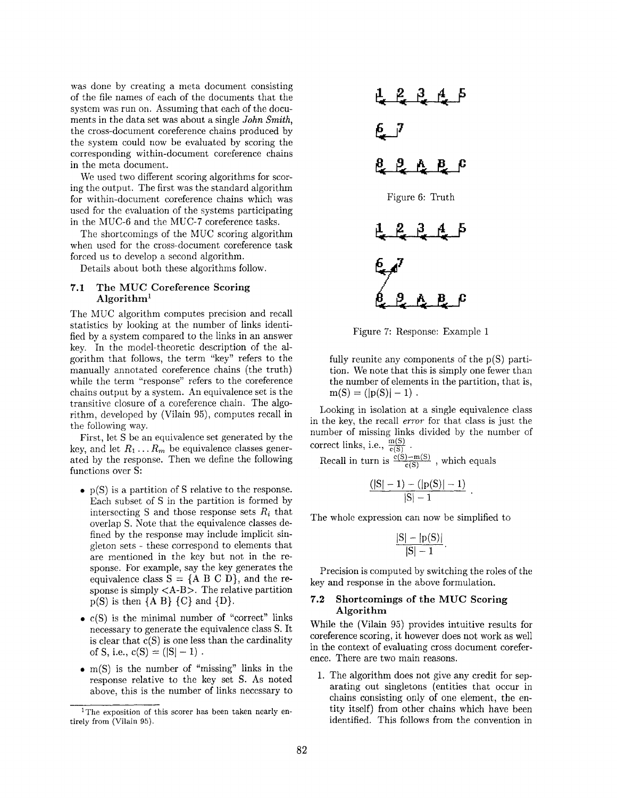was done by creating a meta document consisting of the file names of each of the documents that the system was run on. Assuming that each of the documents in the data set was about a single *John Smith,*  the cross-document coreference chains produced by the system could now be evaluated by scoring the corresponding within-document coreference chains in the meta document.

We used two different scoring algorithms for scoring the output. The first was the standard algorithm for within-document coreference chains which was used for the evaluation of the systems participating in the MUC-6 and the MUC-7 coreference tasks.

The shortcomings of the MUC scoring algorithm when used for the cross-document coreference task forced us to develop a second algorithm.

Details about both these algorithms follow.

### 7.1 The MUC Coreference **Scoring**   $\bf Algorithm<sup>1</sup>$

The MUC algorithm computes precision and recall statistics by looking at the number of links identified by a system compared to the links in an answer key. In the model-theoretic description of the algorithm that follows, the term "key" refers to the manually annotated coreference chains (the truth) while the term "response" refers to the coreference chains output by a system. An equivalence set is the transitive closure of a coreference chain. The algorithm, developed by (Vilain 95), computes recall in the following way.

First, let S be an equivalence set generated by the key, and let  $R_1 \ldots R_m$  be equivalence classes generated by the response. Then we define the following functions over S:

- $p(S)$  is a partition of S relative to the response. Each subset of S in the partition is formed by intersecting S and those response sets  $R_i$  that overlap S. Note that the equivalence classes defined by the response may include implicit singleton sets - these correspond to elements that are mentioned in the key but not in the response. For example, say the key generates the equivalence class  $S = \{A \ B \ C \ D\}$ , and the response is simply  $\langle A-B \rangle$ . The relative partition  $p(S)$  is then  ${A \mid B}$   ${C}$  and  ${D}$ .
- $\bullet$  c(S) is the minimal number of "correct" links necessary to generate the equivalence class S. It is clear that  $c(S)$  is one less than the cardinality of S, i.e.,  $c(S) = (|S| - 1)$ .
- $\bullet$  m(S) is the number of "missing" links in the response relative to the key set S. As noted above, this is the number of links necessary to



Figure 7: Response: Example 1

fully reunite any components of the p(S) partition. We note that this is simply one fewer than the number of elements in the partition, that is,  $m(S) = (|p(S)| - 1)$ .

Looking in isolation at a single equivalence class in the key, the recall *error* for that class is just the number of missing links divided by the number of correct links, i.e.,  $\frac{\text{m}(S)}{\text{c}(S)}$ .

Recall in turn is  $\frac{c(S) - m(S)}{c(S)}$ , which equals

$$
\frac{(|S|-1)-(|p(S)|-1)}{|S|-1}\ .
$$

The whole expression can now be simplified to

$$
\frac{|S| - |p(S)|}{|S| - 1}.
$$

Precision is computed by switching the roles of the key and response in the above formulation.

#### **7.2 Shortcomings of the MUC Scoring Algorithm**

While the (Vilain 95) provides intuitive results for coreference scoring, it however does not work as well in the context of evaluating cross document coreference. There are two main reasons.

1. The algorithm does not give any credit for separating out singletons (entities that occur in chains consisting only of one element, the entity itself) from other chains which have been identified. This follows from the convention in

<sup>&</sup>lt;sup>1</sup>The exposition of this scorer has been taken nearly entirely from (Vilain 95).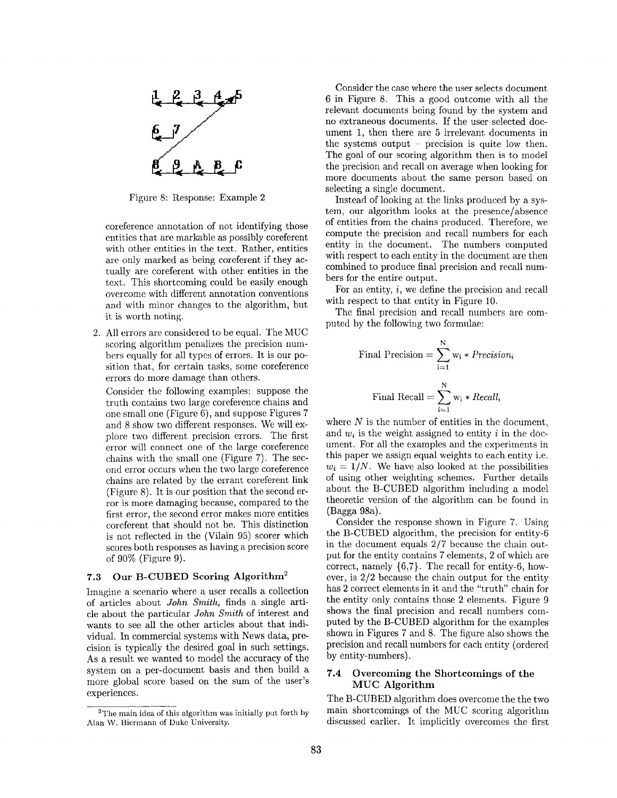

Figure 8: Response: Example 2

coreference annotation of not identifying those entities that are markable as possibly coreferent with other entities in the text. Rather, entities are only marked as being coreferent if they actually are coreferent with other entities in the text. This shortcoming could be easily enough overcome with different annotation conventions and with minor changes to the algorithm, but it is worth noting.

2. All errors are considered to be equal. The MUC scoring algorithm penalizes the precision numbers equally for all types of errors. It is our position that, for certain tasks, some coreference errors do more damage than others.

Consider the following examples: suppose the truth contains two large coreference chains and one small one (Figure 6), and suppose Figures 7 and 8 show two different responses. We will explore two different precision errors. The first error will connect one of the large coreferenee chains with the small one (Figure 7). The second error occurs when the two large coreference chains are related by the errant coreferent link (Figure 8). It is our position that the second error is more damaging because, compared to the first error, the second error makes more entities coreferent that should not be. This distinction is not reflected in the (Vilain 95) scorer which scores both responses as having a precision score of 90% (Figure 9).

#### 7.3 Our B-CUBED Scoring Algorithm<sup>2</sup>

Imagine a scenario where a user recalls a collection of articles about *John Smith,* finds a single article about the particular *John Smith* of interest and wants to see all the other articles about that individual. In commercial systems with News data, precision is typically the desired goal in such settings. As a result we wanted to model the accuracy of the system on a per-document basis and then build a more global score based on the sum of the user's experiences.

Consider the case where the user selects document 6 in Figure 8. This a good outcome with all the relevant documents being found by the system and no extraneous documents. If the user selected document 1, then there are 5 irrelevant documents in the systems output  $-$  precision is quite low then. The goal of our scoring algorithm then is to model the precision and recall on average when looking for more documents about the same person based on selecting a single document.

Instead of looking at the links produced by a system, our algorithm looks at the presence/absence of entities from the chains produced. Therefore, we compute the precision and recall numbers for each entity in the document. The numbers computed with respect to each entity in the document are then combined to produce final precision and recall numbers for the entire output.

For an entity, i, we define the precision and recall with respect to that entity in Figure 10.

The final precision and recall numbers are computed by the following two formulae:

Final Precision = 
$$
\sum_{i=1}^{N} w_i * Precision_i
$$
  
Final Recall =  $\sum_{i=1}^{N} w_i * Recall_i$ 

where  $N$  is the number of entities in the document, and  $w_i$  is the weight assigned to entity i in the document. For all the examples and the cxperiments in this paper we assign equal weights to each entity i.e.  $w_i = 1/N$ . We have also looked at the possibilities of using other weighting schemes. Further details about the B-CUBED algorithm including a model theoretic version of the algorithm can be found in (Bagga 98a).

Consider the response shown in Figure 7. Using the B-CUBED algorithm, the precision for entity-6 in the document equals 2/7 because the chain output for the entity contains 7 elements, 2 of which are correct, namely  $\{6,7\}$ . The recall for entity-6, however, is 2/2 because the chain output for the entity has 2 correct elements in it and the "truth" chain for the entity only contains those 2 elements. Figure 9 shows the final precision and recall numbers computed by the B-CUBED algorithm for the examples shown in Figures 7 and 8. The figure also shows the precision and recall numbers for each entity (ordered by entity-numbers).

# 7.4 Overcoming the Shortcomings of the MUC Algorithm

The B-CUBED algorithm does overcome the the two main shortcomings of the MUC scoring algorithm discussed earlier. It implicitly overcomes the first

 $2$ The main idea of this algorithm was initially put forth by Alan W. Biermann of Duke University.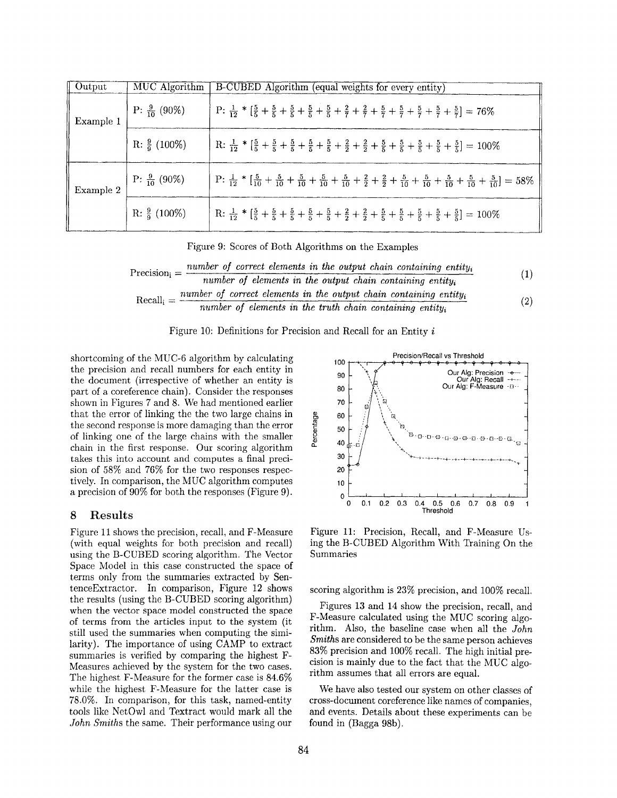| Output    | MUC Algorithm           | B-CUBED Algorithm (equal weights for every entity)                                                                                                                                                                             |
|-----------|-------------------------|--------------------------------------------------------------------------------------------------------------------------------------------------------------------------------------------------------------------------------|
| Example 1 | P: $\frac{9}{10}$ (90%) | P: $\frac{1}{12}$ * $\left[\frac{5}{5} + \frac{5}{5} + \frac{5}{5} + \frac{5}{5} + \frac{5}{5} + \frac{2}{7} + \frac{2}{7} + \frac{5}{7} + \frac{5}{7} + \frac{5}{7} + \frac{5}{7} + \frac{5}{7}\right]$ = 76%                 |
|           | R: $\frac{9}{9}$ (100%) | R: $\frac{1}{12}$ * $\left[\frac{5}{5} + \frac{5}{5} + \frac{5}{5} + \frac{5}{5} + \frac{5}{5} + \frac{2}{5} + \frac{2}{5} + \frac{5}{5} + \frac{5}{5} + \frac{5}{5} + \frac{5}{5} + \frac{5}{5} + \frac{5}{5}\right] = 100\%$ |
| Example 2 | P: $\frac{9}{10}$ (90%) | P: $\frac{1}{12}$ * $\left[\frac{5}{10} + \frac{5}{10} + \frac{5}{10} + \frac{5}{10} + \frac{5}{10} + \frac{2}{2} + \frac{2}{2} + \frac{5}{10} + \frac{5}{10} + \frac{5}{10} + \frac{5}{10} + \frac{5}{10}\right] = 58\%$      |
|           | R: $\frac{9}{9}$ (100%) | R: $\frac{1}{12}$ * $\left[\frac{5}{5} + \frac{5}{5} + \frac{5}{5} + \frac{5}{5} + \frac{2}{5} + \frac{2}{5} + \frac{2}{5} + \frac{5}{5} + \frac{5}{5} + \frac{5}{5} + \frac{5}{5} + \frac{5}{5} + \frac{5}{5}\right] = 100\%$ |

Figure 9: Scores of Both Algorithms on the Examples

$$
Precision_{i} = \frac{number\ of\ correct\ elements\ in\ the\ output\ chain\ containing\ entity_{i}}{number\ of\ elements\ in\ the\ output\ chain\ containing\ entity_{i}} \tag{1}
$$
\n
$$
Recall_{i} = \frac{number\ of\ correct\ elements\ in\ the\ output\ chain\ containing\ entity_{i}}{number\ of\ elements\ in\ the\ truth\ chain\ containing\ entity_{i}} \tag{2}
$$

Figure 10: Definitions for Precision and Recall for an Entity i

shortcoming of the MUC-6 algorithm by calculating the precision and recall numbers for each entity in the document (irrespective of whether an entity is part of a coreference chain). Consider the responses shown in Figures 7 and 8. We had mentioned earlier that the error of linking the the two large chains in the second response is more damaging than the error of linking one of the large chains with the smaller chain in the first response. Our scoring algorithm takes this into account and computes a final precision of 58% and 76% for the two responses respectively. In comparison, the MUC algorithm computes a precision of 90% for both the responses (Figure 9).

# **8** Results

Figure 11 shows the precision, recall, and F-Measure (with equal weights for both precision and recall) using the B-CUBED scoring algorithm. The Vector Space Model in this case constructed the space of terms only from the summaries extracted by SentenceExtractor. In comparison, Figure 12 shows the results (using the B-CUBED scoring algorithm) when the vector space model constructed the space of terms from the articles input to the system (it still used the summaries when computing the similarity). The importance of using CAMP to extract summaries is verified by comparing the highest F-Measures achieved by the system for the two cases. The highest F-Measure for the former case is 84.6% while the highest F-Measure for the latter case is 78.0%. In comparison, for this task, named-entity tools like NetOwl and Textract would mark all the *John Smiths* the same. Their performance using our



Figure 11: Precision, Recall, and F-Measure Using the B-CUBED Algorithm With Training On the Summaries

scoring algorithm is 23% precision, and 100% recall.

Figures 13 and 14 show the precision, recall, and F-Measure calculated using the MUC scoring algorithm. Also, the baseline case when all the *John Smiths* are considered to be the same person achieves 83% precision and 100% recall. The high initial precision is mainly due to the fact that the MUC algorithm assumes that all errors are equal.

We have also tested our system on other classes of cross-document coreference like names of companies, and events. Details about these experiments can be found in (Bagga 98b).